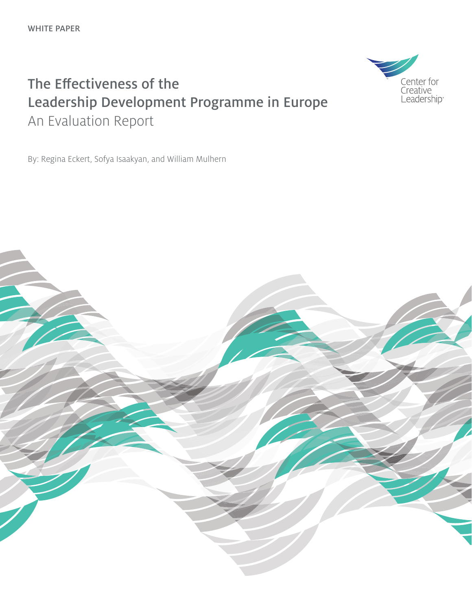## The Effectiveness of the Leadership Development Programme in Europe An Evaluation Report

By: Regina Eckert, Sofya Isaakyan, and William Mulhern



Center for Creative<br>Leadership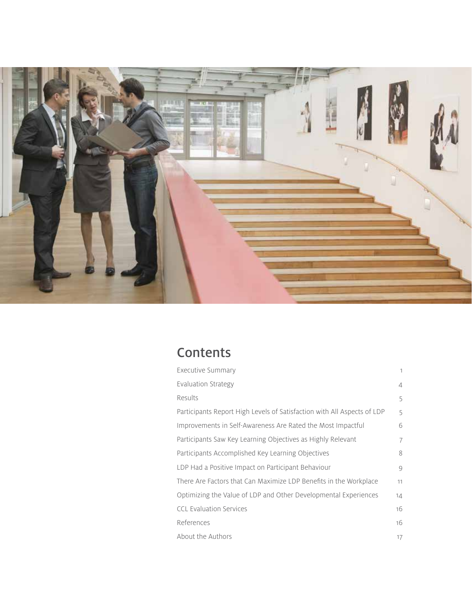

## **Contents**

| Executive Summary                                                       | $\mathbf{1}$   |
|-------------------------------------------------------------------------|----------------|
| Evaluation Strategy                                                     | $\overline{4}$ |
| Results                                                                 | 5              |
| Participants Report High Levels of Satisfaction with All Aspects of LDP | 5              |
| Improvements in Self-Awareness Are Rated the Most Impactful             | 6              |
| Participants Saw Key Learning Objectives as Highly Relevant             | 7              |
| Participants Accomplished Key Learning Objectives                       | 8              |
| LDP Had a Positive Impact on Participant Behaviour                      | 9              |
| There Are Factors that Can Maximize LDP Benefits in the Workplace       | 11             |
| Optimizing the Value of LDP and Other Developmental Experiences         | 14             |
| <b>CCL Evaluation Services</b>                                          | 16             |
| References                                                              | 16             |
| About the Authors                                                       | 17             |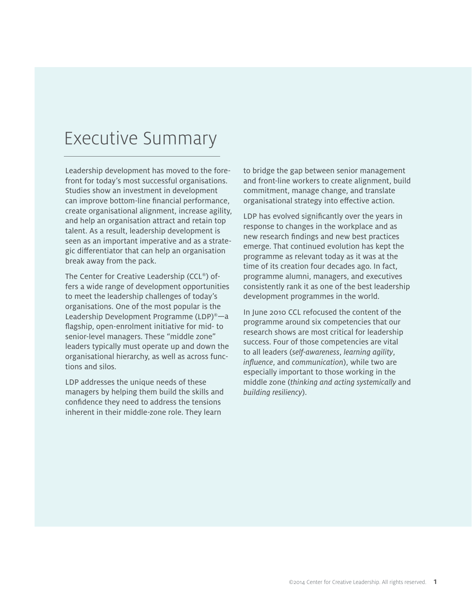## Executive Summary

Leadership development has moved to the forefront for today's most successful organisations. Studies show an investment in development can improve bottom-line financial performance, create organisational alignment, increase agility, and help an organisation attract and retain top talent. As a result, leadership development is seen as an important imperative and as a strategic differentiator that can help an organisation break away from the pack.

The Center for Creative Leadership (CCL®) offers a wide range of development opportunities to meet the leadership challenges of today's organisations. One of the most popular is the Leadership Development Programme (LDP)®—a flagship, open-enrolment initiative for mid- to senior-level managers. These "middle zone" leaders typically must operate up and down the organisational hierarchy, as well as across functions and silos.

LDP addresses the unique needs of these managers by helping them build the skills and confidence they need to address the tensions inherent in their middle-zone role. They learn

to bridge the gap between senior management and front-line workers to create alignment, build commitment, manage change, and translate organisational strategy into effective action.

LDP has evolved significantly over the years in response to changes in the workplace and as new research findings and new best practices emerge. That continued evolution has kept the programme as relevant today as it was at the time of its creation four decades ago. In fact, programme alumni, managers, and executives consistently rank it as one of the best leadership development programmes in the world.

In June 2010 CCL refocused the content of the programme around six competencies that our research shows are most critical for leadership success. Four of those competencies are vital to all leaders (*self-awareness*, *learning agility*, *influence*, and *communication*), while two are especially important to those working in the middle zone (*thinking and acting systemically* and *building resiliency*).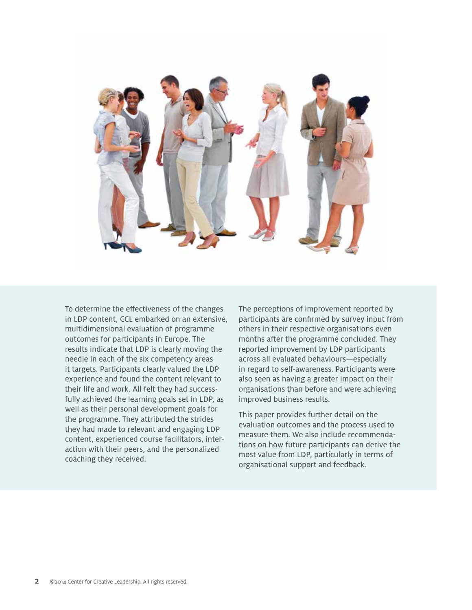

To determine the effectiveness of the changes in LDP content, CCL embarked on an extensive, multidimensional evaluation of programme outcomes for participants in Europe. The results indicate that LDP is clearly moving the needle in each of the six competency areas it targets. Participants clearly valued the LDP experience and found the content relevant to their life and work. All felt they had successfully achieved the learning goals set in LDP, as well as their personal development goals for the programme. They attributed the strides they had made to relevant and engaging LDP content, experienced course facilitators, interaction with their peers, and the personalized coaching they received.

The perceptions of improvement reported by participants are confirmed by survey input from others in their respective organisations even months after the programme concluded. They reported improvement by LDP participants across all evaluated behaviours—especially in regard to self-awareness. Participants were also seen as having a greater impact on their organisations than before and were achieving improved business results.

This paper provides further detail on the evaluation outcomes and the process used to measure them. We also include recommendations on how future participants can derive the most value from LDP, particularly in terms of organisational support and feedback.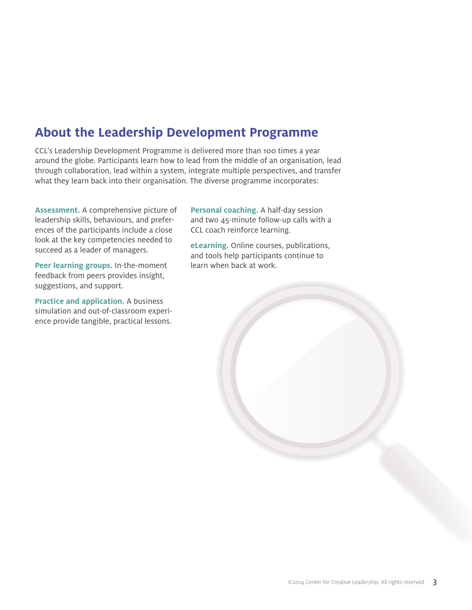## **About the Leadership Development Programme**

CCL's Leadership Development Programme is delivered more than 100 times a year around the globe. Participants learn how to lead from the middle of an organisation, lead through collaboration, lead within a system, integrate multiple perspectives, and transfer what they learn back into their organisation. The diverse programme incorporates:

**Assessment.** A comprehensive picture of leadership skills, behaviours, and preferences of the participants include a close look at the key competencies needed to succeed as a leader of managers.

**Peer learning groups.** In-the-moment feedback from peers provides insight, suggestions, and support.

**Practice and application.** A business simulation and out-of-classroom experience provide tangible, practical lessons.

**Personal coaching.** A half-day session and two 45-minute follow-up calls with a CCL coach reinforce learning.

**eLearning.** Online courses, publications, and tools help participants continue to learn when back at work.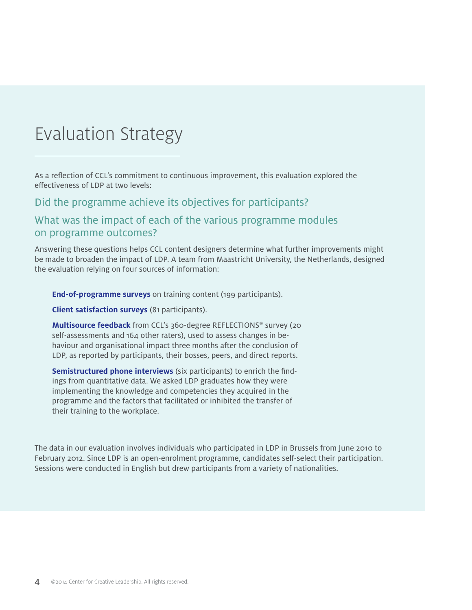## Evaluation Strategy

As a reflection of CCL's commitment to continuous improvement, this evaluation explored the effectiveness of LDP at two levels:

Did the programme achieve its objectives for participants?

### What was the impact of each of the various programme modules on programme outcomes?

Answering these questions helps CCL content designers determine what further improvements might be made to broaden the impact of LDP. A team from Maastricht University, the Netherlands, designed the evaluation relying on four sources of information:

**End-of-programme surveys** on training content (199 participants).

**Client satisfaction surveys** (81 participants).

**Multisource feedback** from CCL's 360-degree REFLECTIONS® survey (20 self-assessments and 164 other raters), used to assess changes in behaviour and organisational impact three months after the conclusion of LDP, as reported by participants, their bosses, peers, and direct reports.

**Semistructured phone interviews** (six participants) to enrich the findings from quantitative data. We asked LDP graduates how they were implementing the knowledge and competencies they acquired in the programme and the factors that facilitated or inhibited the transfer of their training to the workplace.

The data in our evaluation involves individuals who participated in LDP in Brussels from June 2010 to February 2012. Since LDP is an open-enrolment programme, candidates self-select their participation. Sessions were conducted in English but drew participants from a variety of nationalities.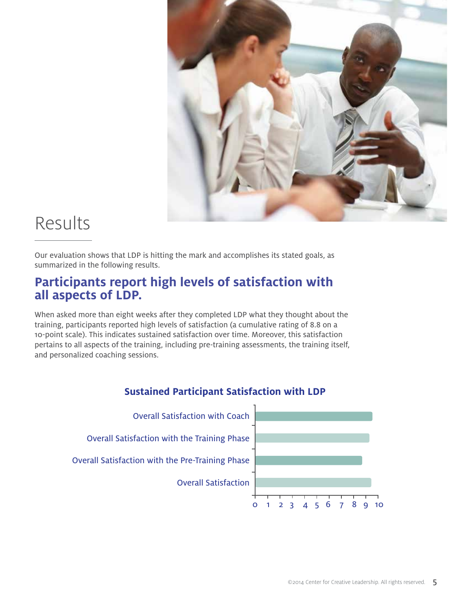

## Results

Our evaluation shows that LDP is hitting the mark and accomplishes its stated goals, as summarized in the following results.

## **Participants report high levels of satisfaction with all aspects of LDP.**

When asked more than eight weeks after they completed LDP what they thought about the training, participants reported high levels of satisfaction (a cumulative rating of 8.8 on a 10-point scale). This indicates sustained satisfaction over time. Moreover, this satisfaction pertains to all aspects of the training, including pre-training assessments, the training itself, and personalized coaching sessions.



### **Sustained Participant Satisfaction with LDP**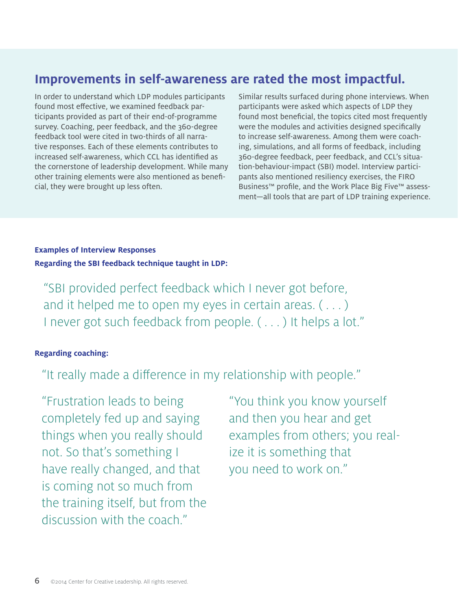## **Improvements in self-awareness are rated the most impactful.**

In order to understand which LDP modules participants found most effective, we examined feedback participants provided as part of their end-of-programme survey. Coaching, peer feedback, and the 360-degree feedback tool were cited in two-thirds of all narrative responses. Each of these elements contributes to increased self-awareness, which CCL has identified as the cornerstone of leadership development. While many other training elements were also mentioned as beneficial, they were brought up less often.

Similar results surfaced during phone interviews. When participants were asked which aspects of LDP they found most beneficial, the topics cited most frequently were the modules and activities designed specifically to increase self-awareness. Among them were coaching, simulations, and all forms of feedback, including 360-degree feedback, peer feedback, and CCL's situation-behaviour-impact (SBI) model. Interview participants also mentioned resiliency exercises, the FIRO Business™ profile, and the Work Place Big Five™ assessment—all tools that are part of LDP training experience.

#### **Examples of Interview Responses Regarding the SBI feedback technique taught in LDP:**

"SBI provided perfect feedback which I never got before, and it helped me to open my eyes in certain areas.  $(\ldots)$ I never got such feedback from people. ( . . . ) It helps a lot."

#### **Regarding coaching:**

"It really made a difference in my relationship with people."

"Frustration leads to being completely fed up and saying things when you really should not. So that's something I have really changed, and that is coming not so much from the training itself, but from the discussion with the coach."

"You think you know yourself and then you hear and get examples from others; you realize it is something that you need to work on."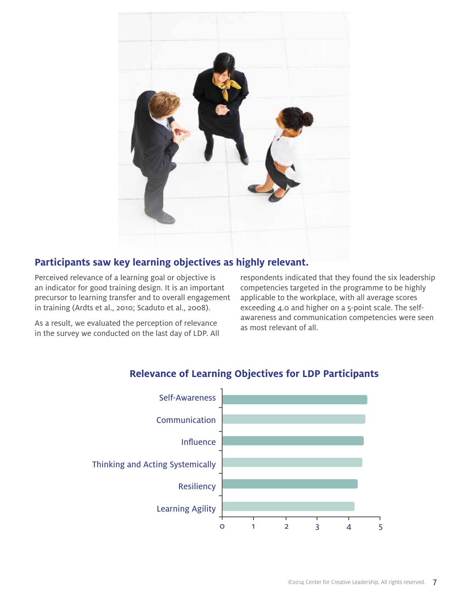

### **Participants saw key learning objectives as highly relevant.**

Perceived relevance of a learning goal or objective is an indicator for good training design. It is an important precursor to learning transfer and to overall engagement in training (Ardts et al., 2010; Scaduto et al., 2008).

As a result, we evaluated the perception of relevance in the survey we conducted on the last day of LDP. All respondents indicated that they found the six leadership competencies targeted in the programme to be highly applicable to the workplace, with all average scores exceeding 4.0 and higher on a 5-point scale. The selfawareness and communication competencies were seen as most relevant of all.



### **Relevance of Learning Objectives for LDP Participants**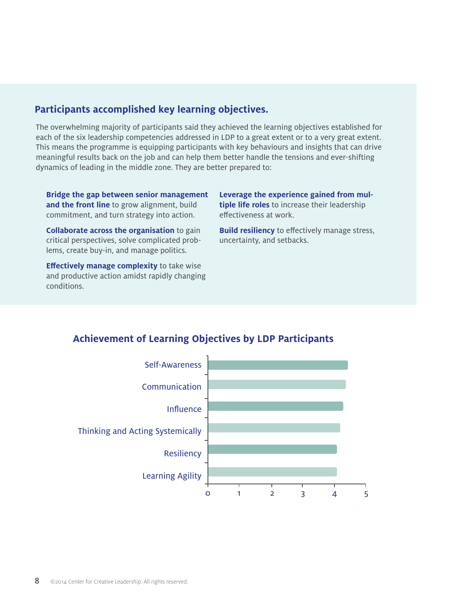### **Participants accomplished key learning objectives.**

The overwhelming majority of participants said they achieved the learning objectives established for each of the six leadership competencies addressed in LDP to a great extent or to a very great extent. This means the programme is equipping participants with key behaviours and insights that can drive meaningful results back on the job and can help them better handle the tensions and ever-shifting dynamics of leading in the middle zone. They are better prepared to:

**Bridge the gap between senior management and the front line** to grow alignment, build commitment, and turn strategy into action.

**Collaborate across the organisation** to gain critical perspectives, solve complicated problems, create buy-in, and manage politics.

**Effectively manage complexity** to take wise and productive action amidst rapidly changing conditions.

**Leverage the experience gained from multiple life roles** to increase their leadership effectiveness at work.

**Build resiliency** to effectively manage stress, uncertainty, and setbacks.

# Self-Awareness Communication Influence

## **Achievement of Learning Objectives by LDP Participants**

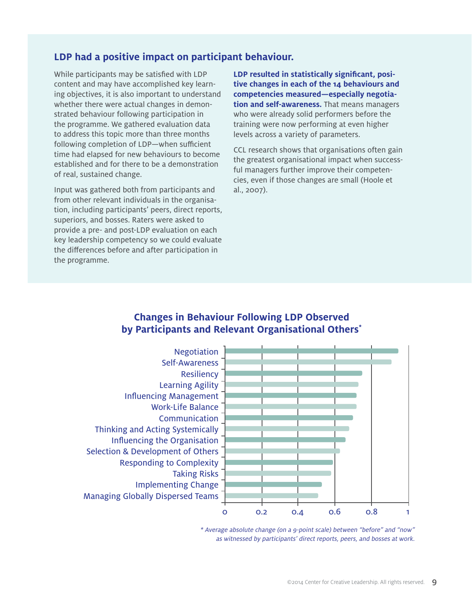#### **LDP had a positive impact on participant behaviour.**

While participants may be satisfied with LDP content and may have accomplished key learning objectives, it is also important to understand whether there were actual changes in demonstrated behaviour following participation in the programme. We gathered evaluation data to address this topic more than three months following completion of LDP—when sufficient time had elapsed for new behaviours to become established and for there to be a demonstration of real, sustained change.

Input was gathered both from participants and from other relevant individuals in the organisation, including participants' peers, direct reports, superiors, and bosses. Raters were asked to provide a pre- and post-LDP evaluation on each key leadership competency so we could evaluate the differences before and after participation in the programme.

**LDP resulted in statistically significant, positive changes in each of the 14 behaviours and competencies measured—especially negotiation and self-awareness.** That means managers who were already solid performers before the training were now performing at even higher levels across a variety of parameters.

CCL research shows that organisations often gain the greatest organisational impact when successful managers further improve their competencies, even if those changes are small (Hoole et al., 2007).

#### **Changes in Behaviour Following LDP Observed by Participants and Relevant Organisational Others\***

Negotiation Self-Awareness **Resiliency** Learning Agility Influencing Management Work-Life Balance **Communication** Thinking and Acting Systemically Influencing the Organisation Selection & Development of Others Responding to Complexity Taking Risks Implementing Change Managing Globally Dispersed Teams



\* Average absolute change (on a 9-point scale) between "before" and "now" as witnessed by participants' direct reports, peers, and bosses at work.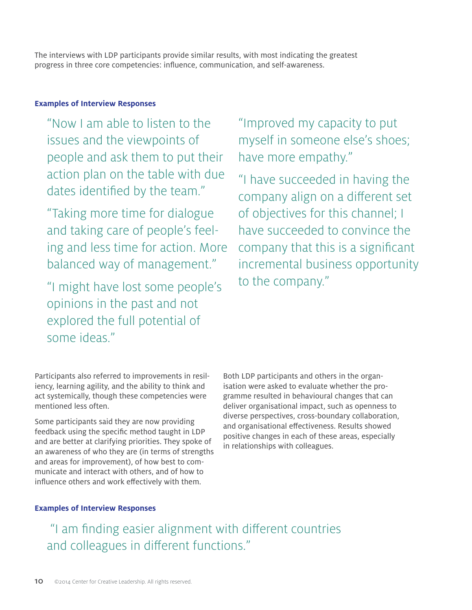The interviews with LDP participants provide similar results, with most indicating the greatest progress in three core competencies: influence, communication, and self-awareness.

#### **Examples of Interview Responses**

"Now I am able to listen to the issues and the viewpoints of people and ask them to put their action plan on the table with due dates identified by the team."

"Taking more time for dialogue and taking care of people's feeling and less time for action. More balanced way of management."

"I might have lost some people's opinions in the past and not explored the full potential of some ideas."

"Improved my capacity to put myself in someone else's shoes; have more empathy."

"I have succeeded in having the company align on a different set of objectives for this channel; I have succeeded to convince the company that this is a significant incremental business opportunity to the company."

Participants also referred to improvements in resiliency, learning agility, and the ability to think and act systemically, though these competencies were mentioned less often.

Some participants said they are now providing feedback using the specific method taught in LDP and are better at clarifying priorities. They spoke of an awareness of who they are (in terms of strengths and areas for improvement), of how best to communicate and interact with others, and of how to influence others and work effectively with them.

Both LDP participants and others in the organisation were asked to evaluate whether the programme resulted in behavioural changes that can deliver organisational impact, such as openness to diverse perspectives, cross-boundary collaboration, and organisational effectiveness. Results showed positive changes in each of these areas, especially in relationships with colleagues.

#### **Examples of Interview Responses**

 "I am finding easier alignment with different countries and colleagues in different functions."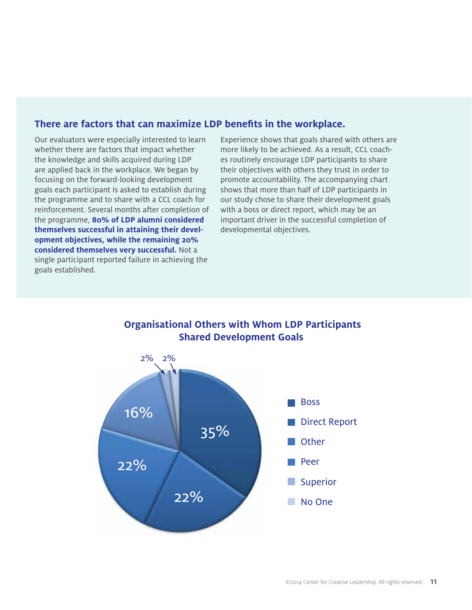### **There are factors that can maximize LDP benefits in the workplace.**

Our evaluators were especially interested to learn whether there are factors that impact whether the knowledge and skills acquired during LDP are applied back in the workplace. We began by focusing on the forward-looking development goals each participant is asked to establish during the programme and to share with a CCL coach for reinforcement. Several months after completion of the programme, **80% of LDP alumni considered themselves successful in attaining their development objectives, while the remaining 20% considered themselves very successful.** Not a single participant reported failure in achieving the goals established.

Experience shows that goals shared with others are more likely to be achieved. As a result, CCL coaches routinely encourage LDP participants to share their objectives with others they trust in order to promote accountability. The accompanying chart shows that more than half of LDP participants in our study chose to share their development goals with a boss or direct report, which may be an important driver in the successful completion of developmental objectives.



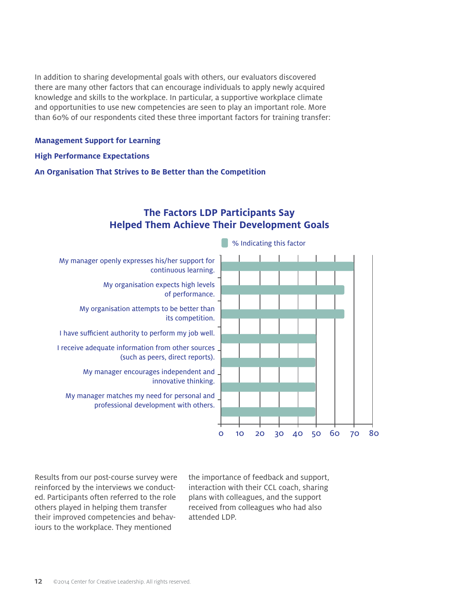In addition to sharing developmental goals with others, our evaluators discovered there are many other factors that can encourage individuals to apply newly acquired knowledge and skills to the workplace. In particular, a supportive workplace climate and opportunities to use new competencies are seen to play an important role. More than 60% of our respondents cited these three important factors for training transfer:

#### **Management Support for Learning**

#### **High Performance Expectations**

**An Organisation That Strives to Be Better than the Competition**



### **The Factors LDP Participants Say Helped Them Achieve Their Development Goals**

Results from our post-course survey were reinforced by the interviews we conducted. Participants often referred to the role others played in helping them transfer their improved competencies and behaviours to the workplace. They mentioned

the importance of feedback and support, interaction with their CCL coach, sharing plans with colleagues, and the support received from colleagues who had also attended LDP.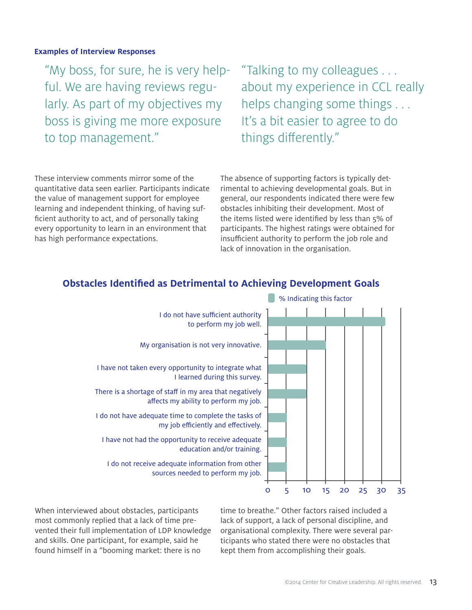#### **Examples of Interview Responses**

"My boss, for sure, he is very helpful. We are having reviews regularly. As part of my objectives my boss is giving me more exposure to top management."

"Talking to my colleagues . . . about my experience in CCL really helps changing some things . . . It's a bit easier to agree to do things differently."

These interview comments mirror some of the quantitative data seen earlier. Participants indicate the value of management support for employee learning and independent thinking, of having sufficient authority to act, and of personally taking every opportunity to learn in an environment that has high performance expectations.

The absence of supporting factors is typically detrimental to achieving developmental goals. But in general, our respondents indicated there were few obstacles inhibiting their development. Most of the items listed were identified by less than 5% of participants. The highest ratings were obtained for insufficient authority to perform the job role and lack of innovation in the organisation.



#### **Obstacles Identified as Detrimental to Achieving Development Goals**

When interviewed about obstacles, participants most commonly replied that a lack of time prevented their full implementation of LDP knowledge and skills. One participant, for example, said he found himself in a "booming market: there is no

time to breathe." Other factors raised included a lack of support, a lack of personal discipline, and organisational complexity. There were several participants who stated there were no obstacles that kept them from accomplishing their goals.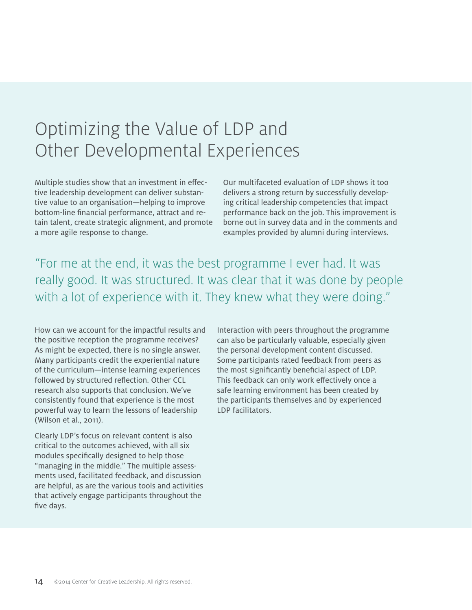## Optimizing the Value of LDP and Other Developmental Experiences

Multiple studies show that an investment in effective leadership development can deliver substantive value to an organisation—helping to improve bottom-line financial performance, attract and retain talent, create strategic alignment, and promote a more agile response to change.

Our multifaceted evaluation of LDP shows it too delivers a strong return by successfully developing critical leadership competencies that impact performance back on the job. This improvement is borne out in survey data and in the comments and examples provided by alumni during interviews.

"For me at the end, it was the best programme I ever had. It was really good. It was structured. It was clear that it was done by people with a lot of experience with it. They knew what they were doing."

How can we account for the impactful results and the positive reception the programme receives? As might be expected, there is no single answer. Many participants credit the experiential nature of the curriculum—intense learning experiences followed by structured reflection. Other CCL research also supports that conclusion. We've consistently found that experience is the most powerful way to learn the lessons of leadership (Wilson et al., 2011).

Clearly LDP's focus on relevant content is also critical to the outcomes achieved, with all six modules specifically designed to help those "managing in the middle." The multiple assessments used, facilitated feedback, and discussion are helpful, as are the various tools and activities that actively engage participants throughout the five days.

Interaction with peers throughout the programme can also be particularly valuable, especially given the personal development content discussed. Some participants rated feedback from peers as the most significantly beneficial aspect of LDP. This feedback can only work effectively once a safe learning environment has been created by the participants themselves and by experienced LDP facilitators.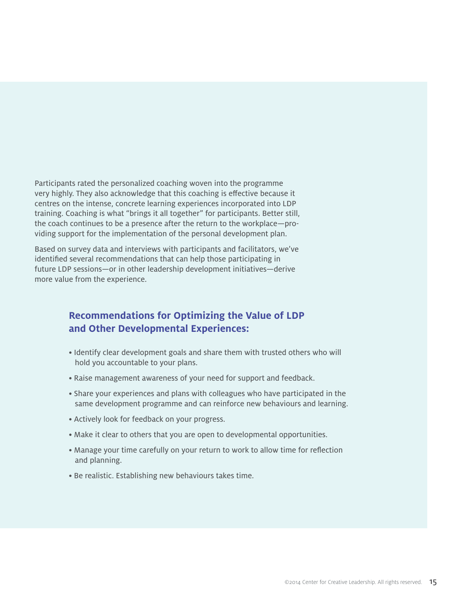Participants rated the personalized coaching woven into the programme very highly. They also acknowledge that this coaching is effective because it centres on the intense, concrete learning experiences incorporated into LDP training. Coaching is what "brings it all together" for participants. Better still, the coach continues to be a presence after the return to the workplace—providing support for the implementation of the personal development plan.

Based on survey data and interviews with participants and facilitators, we've identified several recommendations that can help those participating in future LDP sessions—or in other leadership development initiatives—derive more value from the experience.

### **Recommendations for Optimizing the Value of LDP and Other Developmental Experiences:**

- Identify clear development goals and share them with trusted others who will hold you accountable to your plans.
- Raise management awareness of your need for support and feedback.
- Share your experiences and plans with colleagues who have participated in the same development programme and can reinforce new behaviours and learning.
- Actively look for feedback on your progress.
- Make it clear to others that you are open to developmental opportunities.
- Manage your time carefully on your return to work to allow time for reflection and planning.
- Be realistic. Establishing new behaviours takes time.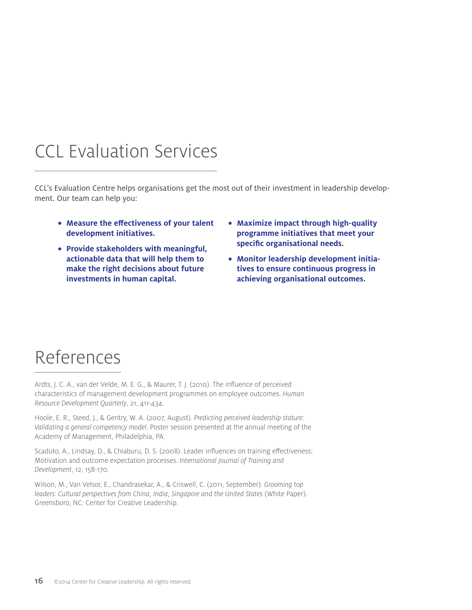# CCL Evaluation Services

CCL's Evaluation Centre helps organisations get the most out of their investment in leadership development. Our team can help you:

- **Measure the effectiveness of your talent development initiatives.**
- **Provide stakeholders with meaningful, actionable data that will help them to make the right decisions about future investments in human capital.**
- **Maximize impact through high-quality programme initiatives that meet your specific organisational needs.**
- **Monitor leadership development initiatives to ensure continuous progress in achieving organisational outcomes.**

## References

Ardts, J. C. A., van der Velde, M. E. G., & Maurer, T. J. (2010). The influence of perceived characteristics of management development programmes on employee outcomes. *Human Resource Development Quarterly*, 21, 411-434.

Hoole, E. R., Steed, J., & Gentry, W. A. (2007, August). *Predicting perceived leadership stature: Validating a general competency model*. Poster session presented at the annual meeting of the Academy of Management, Philadelphia, PA.

Scaduto, A., Lindsay, D., & Chiaburu, D. S. (2008). Leader influences on training effectiveness: Motivation and outcome expectation processes. *International Journal of Training and Development*, 12, 158-170.

Wilson, M., Van Velsor, E., Chandrasekar, A., & Criswell, C. (2011, September). *Grooming top leaders: Cultural perspectives from China, India, Singapore and the United States* (White Paper). Greensboro, NC: Center for Creative Leadership.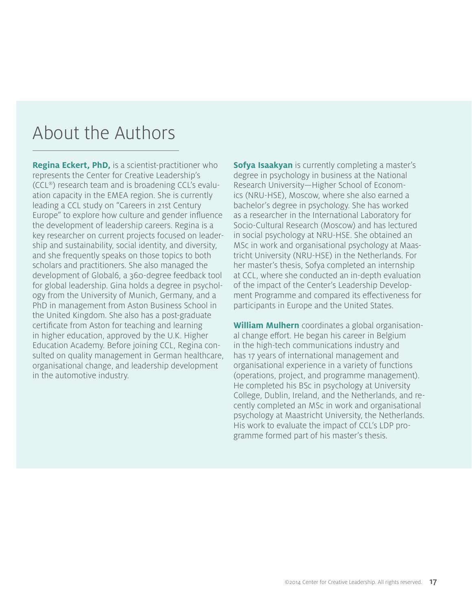## About the Authors

**Regina Eckert, PhD,** is a scientist-practitioner who represents the Center for Creative Leadership's (CCL®) research team and is broadening CCL's evaluation capacity in the EMEA region. She is currently leading a CCL study on "Careers in 21st Century Europe" to explore how culture and gender influence the development of leadership careers. Regina is a key researcher on current projects focused on leadership and sustainability, social identity, and diversity, and she frequently speaks on those topics to both scholars and practitioners. She also managed the development of Global6, a 360-degree feedback tool for global leadership. Gina holds a degree in psychology from the University of Munich, Germany, and a PhD in management from Aston Business School in the United Kingdom. She also has a post-graduate certificate from Aston for teaching and learning in higher education, approved by the U.K. Higher Education Academy. Before joining CCL, Regina consulted on quality management in German healthcare, organisational change, and leadership development in the automotive industry.

**Sofya Isaakyan** is currently completing a master's degree in psychology in business at the National Research University—Higher School of Economics (NRU-HSE), Moscow, where she also earned a bachelor's degree in psychology. She has worked as a researcher in the International Laboratory for Socio-Cultural Research (Moscow) and has lectured in social psychology at NRU-HSE. She obtained an MSc in work and organisational psychology at Maastricht University (NRU-HSE) in the Netherlands. For her master's thesis, Sofya completed an internship at CCL, where she conducted an in-depth evaluation of the impact of the Center's Leadership Development Programme and compared its effectiveness for participants in Europe and the United States.

**William Mulhern** coordinates a global organisational change effort. He began his career in Belgium in the high-tech communications industry and has 17 years of international management and organisational experience in a variety of functions (operations, project, and programme management). He completed his BSc in psychology at University College, Dublin, Ireland, and the Netherlands, and recently completed an MSc in work and organisational psychology at Maastricht University, the Netherlands. His work to evaluate the impact of CCL's LDP programme formed part of his master's thesis.